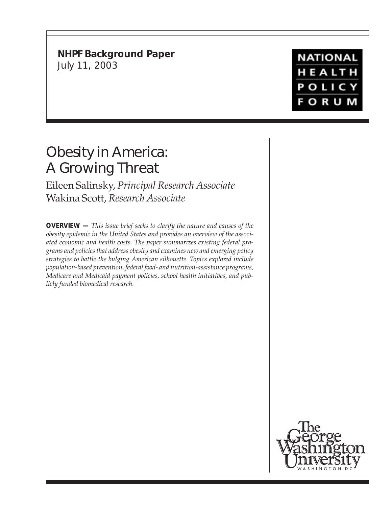**NHPF Background Paper** July 11, 2003

# Obesity in America: A Growing Threat

Eileen Salinsky, *Principal Research Associate* Wakina Scott, *Research Associate*

**OVERVIEW —** *This issue brief seeks to clarify the nature and causes of the obesity epidemic in the United States and provides an overview of the associated economic and health costs. The paper summarizes existing federal programs and policies that address obesity and examines new and emerging policy strategies to battle the bulging American silhouette. Topics explored include population-based prevention, federal food- and nutrition-assistance programs, Medicare and Medicaid payment policies, school health initiatives, and publicly funded biomedical research.*



**NATIONAL** HEALTH **POLICY FORUM**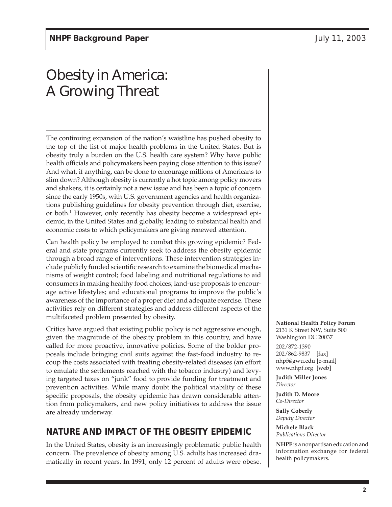The continuing expansion of the nation's waistline has pushed obesity to the top of the list of major health problems in the United States. But is obesity truly a burden on the U.S. health care system? Why have public health officials and policymakers been paying close attention to this issue? And what, if anything, can be done to encourage millions of Americans to slim down? Although obesity is currently a hot topic among policy movers and shakers, it is certainly not a new issue and has been a topic of concern since the early 1950s, with U.S. government agencies and health organizations publishing guidelines for obesity prevention through diet, exercise, or both.1 However, only recently has obesity become a widespread epidemic, in the United States and globally, leading to substantial health and economic costs to which policymakers are giving renewed attention.

Can health policy be employed to combat this growing epidemic? Federal and state programs currently seek to address the obesity epidemic through a broad range of interventions. These intervention strategies include publicly funded scientific research to examine the biomedical mechanisms of weight control; food labeling and nutritional regulations to aid consumers in making healthy food choices; land-use proposals to encourage active lifestyles; and educational programs to improve the public's awareness of the importance of a proper diet and adequate exercise. These activities rely on different strategies and address different aspects of the multifaceted problem presented by obesity.

Critics have argued that existing public policy is not aggressive enough, given the magnitude of the obesity problem in this country, and have called for more proactive, innovative policies. Some of the bolder proposals include bringing civil suits against the fast-food industry to recoup the costs associated with treating obesity-related diseases (an effort to emulate the settlements reached with the tobacco industry) and levying targeted taxes on "junk" food to provide funding for treatment and prevention activities. While many doubt the political viability of these specific proposals, the obesity epidemic has drawn considerable attention from policymakers, and new policy initiatives to address the issue are already underway.

# **NATURE AND IMPACT OF THE OBESITY EPIDEMIC**

In the United States, obesity is an increasingly problematic public health concern. The prevalence of obesity among U.S. adults has increased dramatically in recent years. In 1991, only 12 percent of adults were obese.

#### **National Health Policy Forum**

2131 K Street NW, Suite 500 Washington DC 20037 202/872-1390 202/862-9837 [fax] nhpf@gwu.edu [e-mail] www.nhpf.org [web]

**Judith Miller Jones** *Director*

**Judith D. Moore** *Co-Director*

**Sally Coberly** *Deputy Director*

**Michele Black** *Publications Director*

**NHPF** is a nonpartisan education and information exchange for federal health policymakers.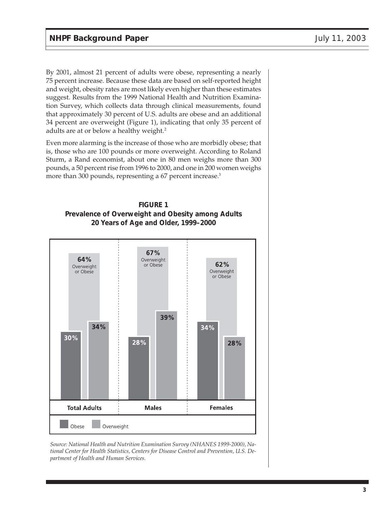By 2001, almost 21 percent of adults were obese, representing a nearly 75 percent increase. Because these data are based on self-reported height and weight, obesity rates are most likely even higher than these estimates suggest. Results from the 1999 National Health and Nutrition Examination Survey, which collects data through clinical measurements, found that approximately 30 percent of U.S. adults are obese and an additional 34 percent are overweight (Figure 1), indicating that only 35 percent of adults are at or below a healthy weight.<sup>2</sup>

Even more alarming is the increase of those who are morbidly obese; that is, those who are 100 pounds or more overweight. According to Roland Sturm, a Rand economist, about one in 80 men weighs more than 300 pounds, a 50 percent rise from 1996 to 2000, and one in 200 women weighs more than 300 pounds, representing a 67 percent increase.<sup>3</sup>





*Source: National Health and Nutrition Examination Survey (NHANES 1999-2000), National Center for Health Statistics, Centers for Disease Control and Prevention, U.S. Department of Health and Human Services.*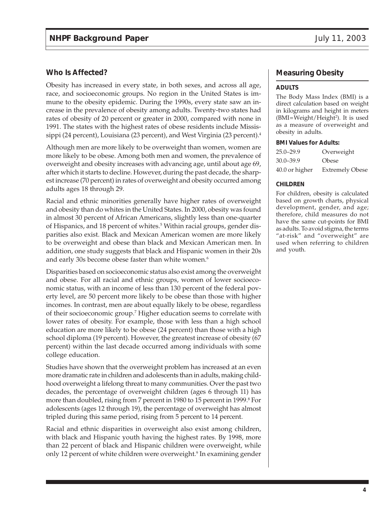#### **Who Is Affected?**

Obesity has increased in every state, in both sexes, and across all age, race, and socioeconomic groups. No region in the United States is immune to the obesity epidemic. During the 1990s, every state saw an increase in the prevalence of obesity among adults. Twenty-two states had rates of obesity of 20 percent or greater in 2000, compared with none in 1991. The states with the highest rates of obese residents include Mississippi (24 percent), Louisiana (23 percent), and West Virginia (23 percent).<sup>4</sup>

Although men are more likely to be overweight than women, women are more likely to be obese. Among both men and women, the prevalence of overweight and obesity increases with advancing age, until about age 69, after which it starts to decline. However, during the past decade, the sharpest increase (70 percent) in rates of overweight and obesity occurred among adults ages 18 through 29.

Racial and ethnic minorities generally have higher rates of overweight and obesity than do whites in the United States. In 2000, obesity was found in almost 30 percent of African Americans, slightly less than one-quarter of Hispanics, and 18 percent of whites.<sup>5</sup> Within racial groups, gender disparities also exist. Black and Mexican American women are more likely to be overweight and obese than black and Mexican American men. In addition, one study suggests that black and Hispanic women in their 20s and early 30s become obese faster than white women.<sup>6</sup>

Disparities based on socioeconomic status also exist among the overweight and obese. For all racial and ethnic groups, women of lower socioeconomic status, with an income of less than 130 percent of the federal poverty level, are 50 percent more likely to be obese than those with higher incomes. In contrast, men are about equally likely to be obese, regardless of their socioeconomic group.<sup>7</sup> Higher education seems to correlate with lower rates of obesity. For example, those with less than a high school education are more likely to be obese (24 percent) than those with a high school diploma (19 percent). However, the greatest increase of obesity (67 percent) within the last decade occurred among individuals with some college education.

Studies have shown that the overweight problem has increased at an even more dramatic rate in children and adolescents than in adults, making childhood overweight a lifelong threat to many communities. Over the past two decades, the percentage of overweight children (ages 6 through 11) has more than doubled, rising from 7 percent in 1980 to 15 percent in 1999.<sup>8</sup> For adolescents (ages 12 through 19), the percentage of overweight has almost tripled during this same period, rising from 5 percent to 14 percent.

Racial and ethnic disparities in overweight also exist among children, with black and Hispanic youth having the highest rates. By 1998, more than 22 percent of black and Hispanic children were overweight, while only 12 percent of white children were overweight.<sup>9</sup> In examining gender

#### **Measuring Obesity**

#### **ADULTS**

The Body Mass Index (BMI) is a direct calculation based on weight in kilograms and height in meters (BMI=Weight/Height<sup>2</sup>). It is used as a measure of overweight and obesity in adults.

#### **BMI Values for Adults:**

| $25.0 - 29.9$  | Overweight             |
|----------------|------------------------|
| $30.0 - 39.9$  | Obese                  |
| 40.0 or higher | <b>Extremely Obese</b> |

#### **CHILDREN**

For children, obesity is calculated based on growth charts, physical development, gender, and age; therefore, child measures do not have the same cut-points for BMI as adults. To avoid stigma, the terms "at-risk" and "overweight" are used when referring to children and youth.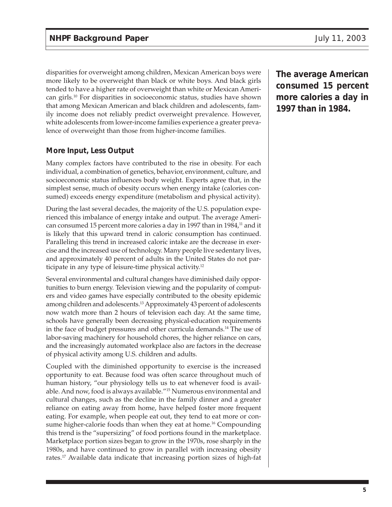disparities for overweight among children, Mexican American boys were more likely to be overweight than black or white boys. And black girls tended to have a higher rate of overweight than white or Mexican American girls.10 For disparities in socioeconomic status, studies have shown that among Mexican American and black children and adolescents, family income does not reliably predict overweight prevalence. However, white adolescents from lower-income families experience a greater prevalence of overweight than those from higher-income families.

## **More Input, Less Output**

Many complex factors have contributed to the rise in obesity. For each individual, a combination of genetics, behavior, environment, culture, and socioeconomic status influences body weight. Experts agree that, in the simplest sense, much of obesity occurs when energy intake (calories consumed) exceeds energy expenditure (metabolism and physical activity).

During the last several decades, the majority of the U.S. population experienced this imbalance of energy intake and output. The average American consumed 15 percent more calories a day in 1997 than in 1984,<sup>11</sup> and it is likely that this upward trend in caloric consumption has continued. Paralleling this trend in increased caloric intake are the decrease in exercise and the increased use of technology. Many people live sedentary lives, and approximately 40 percent of adults in the United States do not participate in any type of leisure-time physical activity.<sup>12</sup>

Several environmental and cultural changes have diminished daily opportunities to burn energy. Television viewing and the popularity of computers and video games have especially contributed to the obesity epidemic among children and adolescents.13 Approximately 43 percent of adolescents now watch more than 2 hours of television each day. At the same time, schools have generally been decreasing physical-education requirements in the face of budget pressures and other curricula demands.14 The use of labor-saving machinery for household chores, the higher reliance on cars, and the increasingly automated workplace also are factors in the decrease of physical activity among U.S. children and adults.

Coupled with the diminished opportunity to exercise is the increased opportunity to eat. Because food was often scarce throughout much of human history, "our physiology tells us to eat whenever food is available. And now, food is always available."15 Numerous environmental and cultural changes, such as the decline in the family dinner and a greater reliance on eating away from home, have helped foster more frequent eating. For example, when people eat out, they tend to eat more or consume higher-calorie foods than when they eat at home.<sup>16</sup> Compounding this trend is the "supersizing" of food portions found in the marketplace. Marketplace portion sizes began to grow in the 1970s, rose sharply in the 1980s, and have continued to grow in parallel with increasing obesity rates.17 Available data indicate that increasing portion sizes of high-fat

**The average American consumed 15 percent more calories a day in 1997 than in 1984.**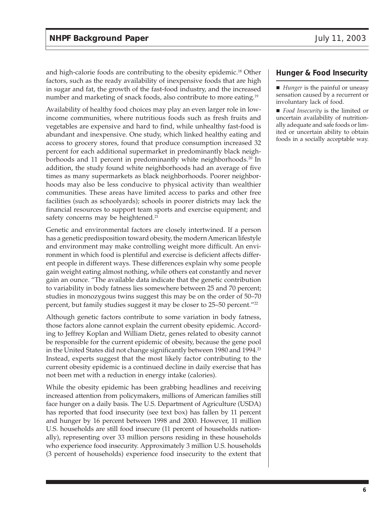and high-calorie foods are contributing to the obesity epidemic.<sup>18</sup> Other factors, such as the ready availability of inexpensive foods that are high in sugar and fat, the growth of the fast-food industry, and the increased number and marketing of snack foods, also contribute to more eating.<sup>19</sup>

Availability of healthy food choices may play an even larger role in lowincome communities, where nutritious foods such as fresh fruits and vegetables are expensive and hard to find, while unhealthy fast-food is abundant and inexpensive. One study, which linked healthy eating and access to grocery stores, found that produce consumption increased 32 percent for each additional supermarket in predominantly black neighborhoods and 11 percent in predominantly white neighborhoods.<sup>20</sup> In addition, the study found white neighborhoods had an average of five times as many supermarkets as black neighborhoods. Poorer neighborhoods may also be less conducive to physical activity than wealthier communities. These areas have limited access to parks and other free facilities (such as schoolyards); schools in poorer districts may lack the financial resources to support team sports and exercise equipment; and safety concerns may be heightened.<sup>21</sup>

Genetic and environmental factors are closely intertwined. If a person has a genetic predisposition toward obesity, the modern American lifestyle and environment may make controlling weight more difficult. An environment in which food is plentiful and exercise is deficient affects different people in different ways. These differences explain why some people gain weight eating almost nothing, while others eat constantly and never gain an ounce. "The available data indicate that the genetic contribution to variability in body fatness lies somewhere between 25 and 70 percent; studies in monozygous twins suggest this may be on the order of 50–70 percent, but family studies suggest it may be closer to 25–50 percent."22

Although genetic factors contribute to some variation in body fatness, those factors alone cannot explain the current obesity epidemic. According to Jeffrey Koplan and William Dietz, genes related to obesity cannot be responsible for the current epidemic of obesity, because the gene pool in the United States did not change significantly between 1980 and 1994.<sup>23</sup> Instead, experts suggest that the most likely factor contributing to the current obesity epidemic is a continued decline in daily exercise that has not been met with a reduction in energy intake (calories).

While the obesity epidemic has been grabbing headlines and receiving increased attention from policymakers, millions of American families still face hunger on a daily basis. The U.S. Department of Agriculture (USDA) has reported that food insecurity (see text box) has fallen by 11 percent and hunger by 16 percent between 1998 and 2000. However, 11 million U.S. households are still food insecure (11 percent of households nationally), representing over 33 million persons residing in these households who experience food insecurity. Approximately 3 million U.S. households (3 percent of households) experience food insecurity to the extent that

#### **Hunger & Food Insecurity**

- *Hunger* is the painful or uneasy sensation caused by a recurrent or involuntary lack of food.
- *Food Insecurity* is the limited or uncertain availability of nutritionally adequate and safe foods or limited or uncertain ability to obtain foods in a socially acceptable way.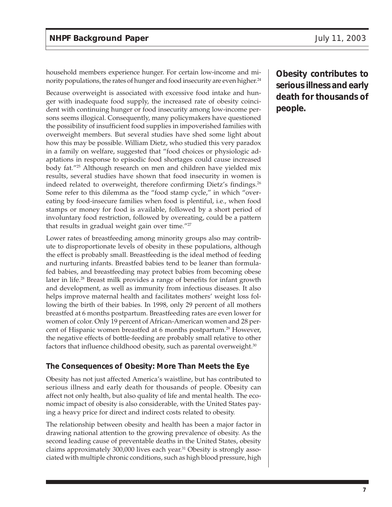household members experience hunger. For certain low-income and minority populations, the rates of hunger and food insecurity are even higher.<sup>24</sup>

Because overweight is associated with excessive food intake and hunger with inadequate food supply, the increased rate of obesity coincident with continuing hunger or food insecurity among low-income persons seems illogical. Consequently, many policymakers have questioned the possibility of insufficient food supplies in impoverished families with overweight members. But several studies have shed some light about how this may be possible. William Dietz, who studied this very paradox in a family on welfare, suggested that "food choices or physiologic adaptations in response to episodic food shortages could cause increased body fat."25 Although research on men and children have yielded mix results, several studies have shown that food insecurity in women is indeed related to overweight, therefore confirming Dietz's findings.<sup>26</sup> Some refer to this dilemma as the "food stamp cycle," in which "overeating by food-insecure families when food is plentiful, i.e., when food stamps or money for food is available, followed by a short period of involuntary food restriction, followed by overeating, could be a pattern that results in gradual weight gain over time."27

Lower rates of breastfeeding among minority groups also may contribute to disproportionate levels of obesity in these populations, although the effect is probably small. Breastfeeding is the ideal method of feeding and nurturing infants. Breastfed babies tend to be leaner than formulafed babies, and breastfeeding may protect babies from becoming obese later in life.<sup>28</sup> Breast milk provides a range of benefits for infant growth and development, as well as immunity from infectious diseases. It also helps improve maternal health and facilitates mothers' weight loss following the birth of their babies. In 1998, only 29 percent of all mothers breastfed at 6 months postpartum. Breastfeeding rates are even lower for women of color. Only 19 percent of African-American women and 28 percent of Hispanic women breastfed at 6 months postpartum.<sup>29</sup> However, the negative effects of bottle-feeding are probably small relative to other factors that influence childhood obesity, such as parental overweight.<sup>30</sup>

## **The Consequences of Obesity: More Than Meets the Eye**

Obesity has not just affected America's waistline, but has contributed to serious illness and early death for thousands of people. Obesity can affect not only health, but also quality of life and mental health. The economic impact of obesity is also considerable, with the United States paying a heavy price for direct and indirect costs related to obesity.

The relationship between obesity and health has been a major factor in drawing national attention to the growing prevalence of obesity. As the second leading cause of preventable deaths in the United States, obesity claims approximately 300,000 lives each year.31 Obesity is strongly associated with multiple chronic conditions, such as high blood pressure, high

**Obesity contributes to serious illness and early death for thousands of people.**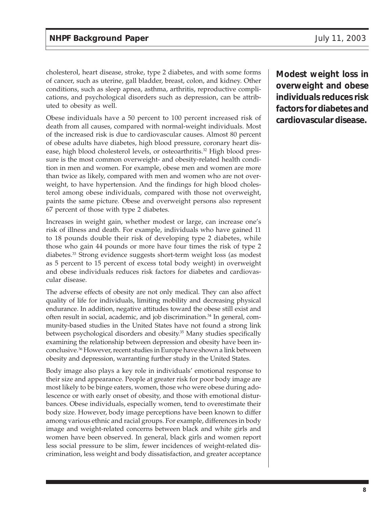cholesterol, heart disease, stroke, type 2 diabetes, and with some forms of cancer, such as uterine, gall bladder, breast, colon, and kidney. Other conditions, such as sleep apnea, asthma, arthritis, reproductive complications, and psychological disorders such as depression, can be attributed to obesity as well.

Obese individuals have a 50 percent to 100 percent increased risk of death from all causes, compared with normal-weight individuals. Most of the increased risk is due to cardiovascular causes. Almost 80 percent of obese adults have diabetes, high blood pressure, coronary heart disease, high blood cholesterol levels, or osteoarthritis.<sup>32</sup> High blood pressure is the most common overweight- and obesity-related health condition in men and women. For example, obese men and women are more than twice as likely, compared with men and women who are not overweight, to have hypertension. And the findings for high blood cholesterol among obese individuals, compared with those not overweight, paints the same picture. Obese and overweight persons also represent 67 percent of those with type 2 diabetes.

Increases in weight gain, whether modest or large, can increase one's risk of illness and death. For example, individuals who have gained 11 to 18 pounds double their risk of developing type 2 diabetes, while those who gain 44 pounds or more have four times the risk of type 2 diabetes.33 Strong evidence suggests short-term weight loss (as modest as 5 percent to 15 percent of excess total body weight) in overweight and obese individuals reduces risk factors for diabetes and cardiovascular disease.

The adverse effects of obesity are not only medical. They can also affect quality of life for individuals, limiting mobility and decreasing physical endurance. In addition, negative attitudes toward the obese still exist and often result in social, academic, and job discrimination.<sup>34</sup> In general, community-based studies in the United States have not found a strong link between psychological disorders and obesity.<sup>35</sup> Many studies specifically examining the relationship between depression and obesity have been inconclusive.36 However, recent studies in Europe have shown a link between obesity and depression, warranting further study in the United States.

Body image also plays a key role in individuals' emotional response to their size and appearance. People at greater risk for poor body image are most likely to be binge eaters, women, those who were obese during adolescence or with early onset of obesity, and those with emotional disturbances. Obese individuals, especially women, tend to overestimate their body size. However, body image perceptions have been known to differ among various ethnic and racial groups. For example, differences in body image and weight-related concerns between black and white girls and women have been observed. In general, black girls and women report less social pressure to be slim, fewer incidences of weight-related discrimination, less weight and body dissatisfaction, and greater acceptance

**Modest weight loss in overweight and obese individuals reduces risk factors for diabetes and cardiovascular disease.**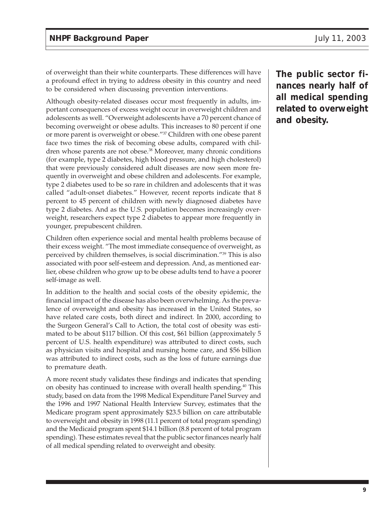of overweight than their white counterparts. These differences will have a profound effect in trying to address obesity in this country and need to be considered when discussing prevention interventions.

Although obesity-related diseases occur most frequently in adults, important consequences of excess weight occur in overweight children and adolescents as well. "Overweight adolescents have a 70 percent chance of becoming overweight or obese adults. This increases to 80 percent if one or more parent is overweight or obese."37 Children with one obese parent face two times the risk of becoming obese adults, compared with children whose parents are not obese.<sup>38</sup> Moreover, many chronic conditions (for example, type 2 diabetes, high blood pressure, and high cholesterol) that were previously considered adult diseases are now seen more frequently in overweight and obese children and adolescents. For example, type 2 diabetes used to be so rare in children and adolescents that it was called "adult-onset diabetes." However, recent reports indicate that 8 percent to 45 percent of children with newly diagnosed diabetes have type 2 diabetes. And as the U.S. population becomes increasingly overweight, researchers expect type 2 diabetes to appear more frequently in younger, prepubescent children.

Children often experience social and mental health problems because of their excess weight. "The most immediate consequence of overweight, as perceived by children themselves, is social discrimination."39 This is also associated with poor self-esteem and depression. And, as mentioned earlier, obese children who grow up to be obese adults tend to have a poorer self-image as well.

In addition to the health and social costs of the obesity epidemic, the financial impact of the disease has also been overwhelming. As the prevalence of overweight and obesity has increased in the United States, so have related care costs, both direct and indirect. In 2000, according to the Surgeon General's Call to Action, the total cost of obesity was estimated to be about \$117 billion. Of this cost, \$61 billion (approximately 5 percent of U.S. health expenditure) was attributed to direct costs, such as physician visits and hospital and nursing home care, and \$56 billion was attributed to indirect costs, such as the loss of future earnings due to premature death.

A more recent study validates these findings and indicates that spending on obesity has continued to increase with overall health spending.<sup>40</sup> This study, based on data from the 1998 Medical Expenditure Panel Survey and the 1996 and 1997 National Health Interview Survey, estimates that the Medicare program spent approximately \$23.5 billion on care attributable to overweight and obesity in 1998 (11.1 percent of total program spending) and the Medicaid program spent \$14.1 billion (8.8 percent of total program spending). These estimates reveal that the public sector finances nearly half of all medical spending related to overweight and obesity.

**The public sector finances nearly half of all medical spending related to overweight and obesity.**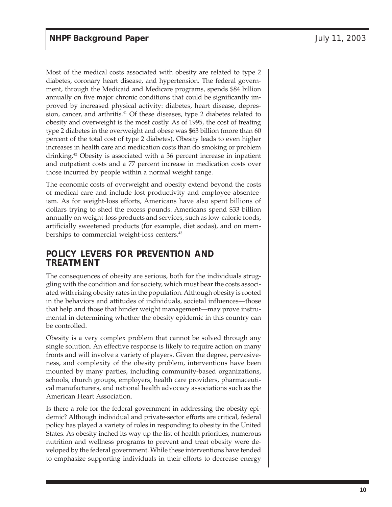Most of the medical costs associated with obesity are related to type 2 diabetes, coronary heart disease, and hypertension. The federal government, through the Medicaid and Medicare programs, spends \$84 billion annually on five major chronic conditions that could be significantly improved by increased physical activity: diabetes, heart disease, depression, cancer, and arthritis.<sup>41</sup> Of these diseases, type 2 diabetes related to obesity and overweight is the most costly. As of 1995, the cost of treating type 2 diabetes in the overweight and obese was \$63 billion (more than 60 percent of the total cost of type 2 diabetes). Obesity leads to even higher increases in health care and medication costs than do smoking or problem drinking.42 Obesity is associated with a 36 percent increase in inpatient and outpatient costs and a 77 percent increase in medication costs over those incurred by people within a normal weight range.

The economic costs of overweight and obesity extend beyond the costs of medical care and include lost productivity and employee absenteeism. As for weight-loss efforts, Americans have also spent billions of dollars trying to shed the excess pounds. Americans spend \$33 billion annually on weight-loss products and services, such as low-calorie foods, artificially sweetened products (for example, diet sodas), and on memberships to commercial weight-loss centers.<sup>43</sup>

# **POLICY LEVERS FOR PREVENTION AND TREATMENT**

The consequences of obesity are serious, both for the individuals struggling with the condition and for society, which must bear the costs associated with rising obesity rates in the population. Although obesity is rooted in the behaviors and attitudes of individuals, societal influences—those that help and those that hinder weight management—may prove instrumental in determining whether the obesity epidemic in this country can be controlled.

Obesity is a very complex problem that cannot be solved through any single solution. An effective response is likely to require action on many fronts and will involve a variety of players. Given the degree, pervasiveness, and complexity of the obesity problem, interventions have been mounted by many parties, including community-based organizations, schools, church groups, employers, health care providers, pharmaceutical manufacturers, and national health advocacy associations such as the American Heart Association.

Is there a role for the federal government in addressing the obesity epidemic? Although individual and private-sector efforts are critical, federal policy has played a variety of roles in responding to obesity in the United States. As obesity inched its way up the list of health priorities, numerous nutrition and wellness programs to prevent and treat obesity were developed by the federal government. While these interventions have tended to emphasize supporting individuals in their efforts to decrease energy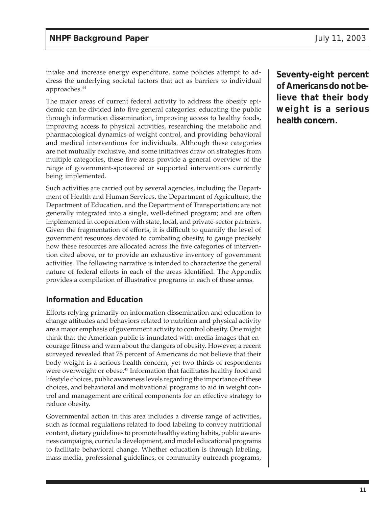intake and increase energy expenditure, some policies attempt to address the underlying societal factors that act as barriers to individual approaches.<sup>44</sup>

The major areas of current federal activity to address the obesity epidemic can be divided into five general categories: educating the public through information dissemination, improving access to healthy foods, improving access to physical activities, researching the metabolic and pharmacological dynamics of weight control, and providing behavioral and medical interventions for individuals. Although these categories are not mutually exclusive, and some initiatives draw on strategies from multiple categories, these five areas provide a general overview of the range of government-sponsored or supported interventions currently being implemented.

Such activities are carried out by several agencies, including the Department of Health and Human Services, the Department of Agriculture, the Department of Education, and the Department of Transportation; are not generally integrated into a single, well-defined program; and are often implemented in cooperation with state, local, and private-sector partners. Given the fragmentation of efforts, it is difficult to quantify the level of government resources devoted to combating obesity, to gauge precisely how these resources are allocated across the five categories of intervention cited above, or to provide an exhaustive inventory of government activities. The following narrative is intended to characterize the general nature of federal efforts in each of the areas identified. The Appendix provides a compilation of illustrative programs in each of these areas.

## **Information and Education**

Efforts relying primarily on information dissemination and education to change attitudes and behaviors related to nutrition and physical activity are a major emphasis of government activity to control obesity. One might think that the American public is inundated with media images that encourage fitness and warn about the dangers of obesity. However, a recent surveyed revealed that 78 percent of Americans do not believe that their body weight is a serious health concern, yet two thirds of respondents were overweight or obese.<sup>45</sup> Information that facilitates healthy food and lifestyle choices, public awareness levels regarding the importance of these choices, and behavioral and motivational programs to aid in weight control and management are critical components for an effective strategy to reduce obesity.

Governmental action in this area includes a diverse range of activities, such as formal regulations related to food labeling to convey nutritional content, dietary guidelines to promote healthy eating habits, public awareness campaigns, curricula development, and model educational programs to facilitate behavioral change. Whether education is through labeling, mass media, professional guidelines, or community outreach programs, **Seventy-eight percent of Americans do not believe that their body weight is a serious health concern.**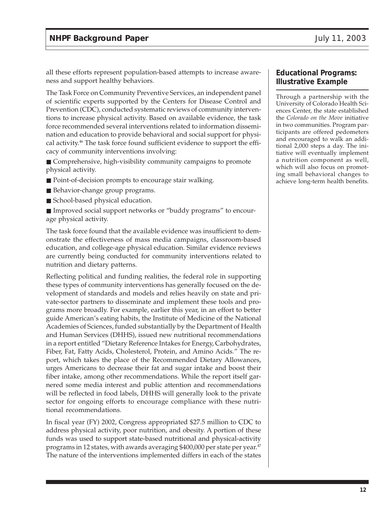all these efforts represent population-based attempts to increase awareness and support healthy behaviors.

The Task Force on Community Preventive Services, an independent panel of scientific experts supported by the Centers for Disease Control and Prevention (CDC), conducted systematic reviews of community interventions to increase physical activity. Based on available evidence, the task force recommended several interventions related to information dissemination and education to provide behavioral and social support for physical activity.46 The task force found sufficient evidence to support the efficacy of community interventions involving:

■ Comprehensive, high-visibility community campaigns to promote physical activity.

- Point-of-decision prompts to encourage stair walking.
- Behavior-change group programs.
- School-based physical education.

■ Improved social support networks or "buddy programs" to encourage physical activity.

The task force found that the available evidence was insufficient to demonstrate the effectiveness of mass media campaigns, classroom-based education, and college-age physical education. Similar evidence reviews are currently being conducted for community interventions related to nutrition and dietary patterns.

Reflecting political and funding realities, the federal role in supporting these types of community interventions has generally focused on the development of standards and models and relies heavily on state and private-sector partners to disseminate and implement these tools and programs more broadly. For example, earlier this year, in an effort to better guide American's eating habits, the Institute of Medicine of the National Academies of Sciences, funded substantially by the Department of Health and Human Services (DHHS), issued new nutritional recommendations in a report entitled "Dietary Reference Intakes for Energy, Carbohydrates, Fiber, Fat, Fatty Acids, Cholesterol, Protein, and Amino Acids." The report, which takes the place of the Recommended Dietary Allowances, urges Americans to decrease their fat and sugar intake and boost their fiber intake, among other recommendations. While the report itself garnered some media interest and public attention and recommendations will be reflected in food labels, DHHS will generally look to the private sector for ongoing efforts to encourage compliance with these nutritional recommendations.

In fiscal year (FY) 2002, Congress appropriated \$27.5 million to CDC to address physical activity, poor nutrition, and obesity. A portion of these funds was used to support state-based nutritional and physical-activity programs in 12 states, with awards averaging \$400,000 per state per year.<sup>47</sup> The nature of the interventions implemented differs in each of the states

#### **Educational Programs: Illustrative Example**

Through a partnership with the University of Colorado Health Sciences Center, the state established the *Colorado on the Move* initiative in two communities. Program participants are offered pedometers and encouraged to walk an additional 2,000 steps a day. The initiative will eventually implement a nutrition component as well, which will also focus on promoting small behavioral changes to achieve long-term health benefits.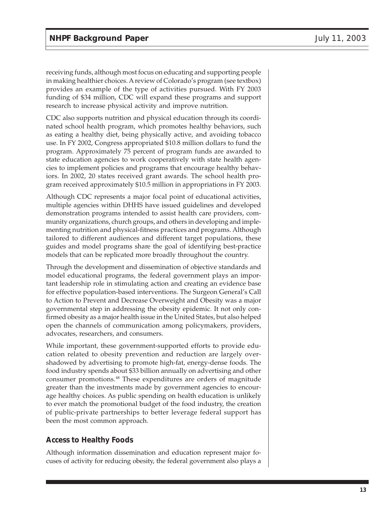receiving funds, although most focus on educating and supporting people in making healthier choices. A review of Colorado's program (see textbox) provides an example of the type of activities pursued. With FY 2003 funding of \$34 million, CDC will expand these programs and support research to increase physical activity and improve nutrition.

CDC also supports nutrition and physical education through its coordinated school health program, which promotes healthy behaviors, such as eating a healthy diet, being physically active, and avoiding tobacco use. In FY 2002, Congress appropriated \$10.8 million dollars to fund the program. Approximately 75 percent of program funds are awarded to state education agencies to work cooperatively with state health agencies to implement policies and programs that encourage healthy behaviors. In 2002, 20 states received grant awards. The school health program received approximately \$10.5 million in appropriations in FY 2003.

Although CDC represents a major focal point of educational activities, multiple agencies within DHHS have issued guidelines and developed demonstration programs intended to assist health care providers, community organizations, church groups, and others in developing and implementing nutrition and physical-fitness practices and programs. Although tailored to different audiences and different target populations, these guides and model programs share the goal of identifying best-practice models that can be replicated more broadly throughout the country.

Through the development and dissemination of objective standards and model educational programs, the federal government plays an important leadership role in stimulating action and creating an evidence base for effective population-based interventions. The Surgeon General's Call to Action to Prevent and Decrease Overweight and Obesity was a major governmental step in addressing the obesity epidemic. It not only confirmed obesity as a major health issue in the United States, but also helped open the channels of communication among policymakers, providers, advocates, researchers, and consumers.

While important, these government-supported efforts to provide education related to obesity prevention and reduction are largely overshadowed by advertising to promote high-fat, energy-dense foods. The food industry spends about \$33 billion annually on advertising and other consumer promotions.48 These expenditures are orders of magnitude greater than the investments made by government agencies to encourage healthy choices. As public spending on health education is unlikely to ever match the promotional budget of the food industry, the creation of public-private partnerships to better leverage federal support has been the most common approach.

## **Access to Healthy Foods**

Although information dissemination and education represent major focuses of activity for reducing obesity, the federal government also plays a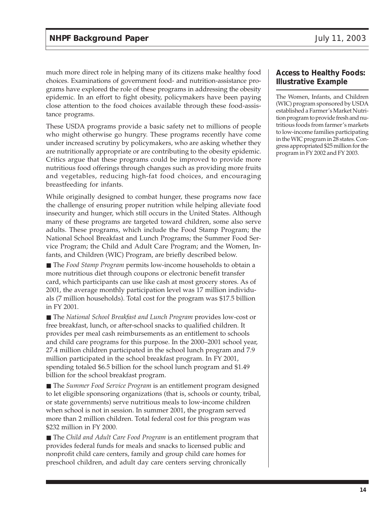much more direct role in helping many of its citizens make healthy food choices. Examinations of government food- and nutrition-assistance programs have explored the role of these programs in addressing the obesity epidemic. In an effort to fight obesity, policymakers have been paying close attention to the food choices available through these food-assistance programs.

These USDA programs provide a basic safety net to millions of people who might otherwise go hungry. These programs recently have come under increased scrutiny by policymakers, who are asking whether they are nutritionally appropriate or are contributing to the obesity epidemic. Critics argue that these programs could be improved to provide more nutritious food offerings through changes such as providing more fruits and vegetables, reducing high-fat food choices, and encouraging breastfeeding for infants.

While originally designed to combat hunger, these programs now face the challenge of ensuring proper nutrition while helping alleviate food insecurity and hunger, which still occurs in the United States. Although many of these programs are targeted toward children, some also serve adults. These programs, which include the Food Stamp Program; the National School Breakfast and Lunch Programs; the Summer Food Service Program; the Child and Adult Care Program; and the Women, Infants, and Children (WIC) Program, are briefly described below.

■ The *Food Stamp Program* permits low-income households to obtain a more nutritious diet through coupons or electronic benefit transfer card, which participants can use like cash at most grocery stores. As of 2001, the average monthly participation level was 17 million individuals (7 million households). Total cost for the program was \$17.5 billion in FY 2001.

■ The *National School Breakfast and Lunch Program* provides low-cost or free breakfast, lunch, or after-school snacks to qualified children. It provides per meal cash reimbursements as an entitlement to schools and child care programs for this purpose. In the 2000–2001 school year, 27.4 million children participated in the school lunch program and 7.9 million participated in the school breakfast program. In FY 2001, spending totaled \$6.5 billion for the school lunch program and \$1.49 billion for the school breakfast program.

■ The *Summer Food Service Program* is an entitlement program designed to let eligible sponsoring organizations (that is, schools or county, tribal, or state governments) serve nutritious meals to low-income children when school is not in session. In summer 2001, the program served more than 2 million children. Total federal cost for this program was \$232 million in FY 2000.

■ The *Child and Adult Care Food Program* is an entitlement program that provides federal funds for meals and snacks to licensed public and nonprofit child care centers, family and group child care homes for preschool children, and adult day care centers serving chronically

## **Access to Healthy Foods: Illustrative Example**

The Women, Infants, and Children (WIC) program sponsored by USDA established a Farmer's Market Nutrition program to provide fresh and nutritious foods from farmer's markets to low-income families participating in the WIC program in 28 states. Congress appropriated \$25 million for the program in FY 2002 and FY 2003.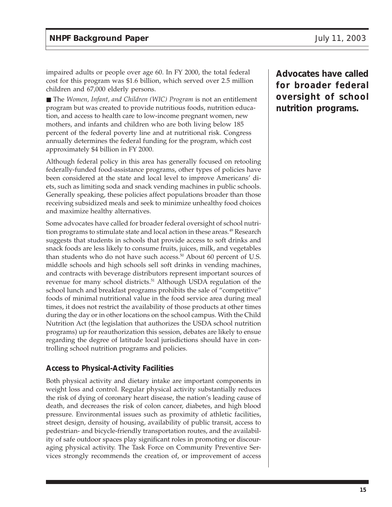impaired adults or people over age 60. In FY 2000, the total federal cost for this program was \$1.6 billion, which served over 2.5 million children and 67,000 elderly persons.

■ The *Women, Infant, and Children* (WIC) *Program* is not an entitlement program but was created to provide nutritious foods, nutrition education, and access to health care to low-income pregnant women, new mothers, and infants and children who are both living below 185 percent of the federal poverty line and at nutritional risk. Congress annually determines the federal funding for the program, which cost approximately \$4 billion in FY 2000.

Although federal policy in this area has generally focused on retooling federally-funded food-assistance programs, other types of policies have been considered at the state and local level to improve Americans' diets, such as limiting soda and snack vending machines in public schools. Generally speaking, these policies affect populations broader than those receiving subsidized meals and seek to minimize unhealthy food choices and maximize healthy alternatives.

Some advocates have called for broader federal oversight of school nutrition programs to stimulate state and local action in these areas.<sup>49</sup> Research suggests that students in schools that provide access to soft drinks and snack foods are less likely to consume fruits, juices, milk, and vegetables than students who do not have such access.<sup>50</sup> About 60 percent of U.S. middle schools and high schools sell soft drinks in vending machines, and contracts with beverage distributors represent important sources of revenue for many school districts.<sup>51</sup> Although USDA regulation of the school lunch and breakfast programs prohibits the sale of "competitive" foods of minimal nutritional value in the food service area during meal times, it does not restrict the availability of those products at other times during the day or in other locations on the school campus. With the Child Nutrition Act (the legislation that authorizes the USDA school nutrition programs) up for reauthorization this session, debates are likely to ensue regarding the degree of latitude local jurisdictions should have in controlling school nutrition programs and policies.

## **Access to Physical-Activity Facilities**

Both physical activity and dietary intake are important components in weight loss and control. Regular physical activity substantially reduces the risk of dying of coronary heart disease, the nation's leading cause of death, and decreases the risk of colon cancer, diabetes, and high blood pressure. Environmental issues such as proximity of athletic facilities, street design, density of housing, availability of public transit, access to pedestrian- and bicycle-friendly transportation routes, and the availability of safe outdoor spaces play significant roles in promoting or discouraging physical activity. The Task Force on Community Preventive Services strongly recommends the creation of, or improvement of access **Advocates have called for broader federal oversight of school nutrition programs.**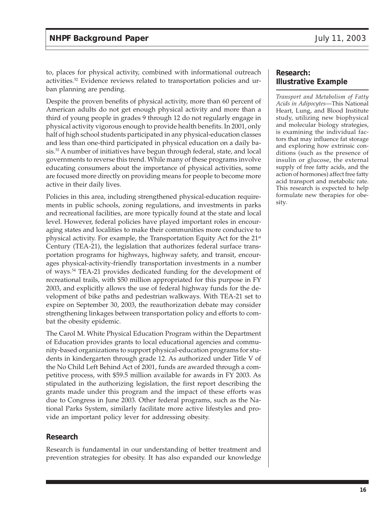to, places for physical activity, combined with informational outreach activities.52 Evidence reviews related to transportation policies and urban planning are pending.

Despite the proven benefits of physical activity, more than 60 percent of American adults do not get enough physical activity and more than a third of young people in grades 9 through 12 do not regularly engage in physical activity vigorous enough to provide health benefits. In 2001, only half of high school students participated in any physical-education classes and less than one-third participated in physical education on a daily basis.53 A number of initiatives have begun through federal, state, and local governments to reverse this trend. While many of these programs involve educating consumers about the importance of physical activities, some are focused more directly on providing means for people to become more active in their daily lives.

Policies in this area, including strengthened physical-education requirements in public schools, zoning regulations, and investments in parks and recreational facilities, are more typically found at the state and local level. However, federal policies have played important roles in encouraging states and localities to make their communities more conducive to physical activity. For example, the Transportation Equity Act for the 21st Century (TEA-21), the legislation that authorizes federal surface transportation programs for highways, highway safety, and transit, encourages physical-activity-friendly transportation investments in a number of ways.54 TEA-21 provides dedicated funding for the development of recreational trails, with \$50 million appropriated for this purpose in FY 2003, and explicitly allows the use of federal highway funds for the development of bike paths and pedestrian walkways. With TEA-21 set to expire on September 30, 2003, the reauthorization debate may consider strengthening linkages between transportation policy and efforts to combat the obesity epidemic.

The Carol M. White Physical Education Program within the Department of Education provides grants to local educational agencies and community-based organizations to support physical-education programs for students in kindergarten through grade 12. As authorized under Title V of the No Child Left Behind Act of 2001, funds are awarded through a competitive process, with \$59.5 million available for awards in FY 2003. As stipulated in the authorizing legislation, the first report describing the grants made under this program and the impact of these efforts was due to Congress in June 2003. Other federal programs, such as the National Parks System, similarly facilitate more active lifestyles and provide an important policy lever for addressing obesity.

#### **Research**

Research is fundamental in our understanding of better treatment and prevention strategies for obesity. It has also expanded our knowledge

#### **Research: Illustrative Example**

*Transport and Metabolism of Fatty Acids in Adipocytes*—This National Heart, Lung, and Blood Institute study, utilizing new biophysical and molecular biology strategies, is examining the individual factors that may influence fat storage and exploring how extrinsic conditions (such as the presence of insulin or glucose, the external supply of free fatty acids, and the action of hormones) affect free fatty acid transport and metabolic rate. This research is expected to help formulate new therapies for obesity.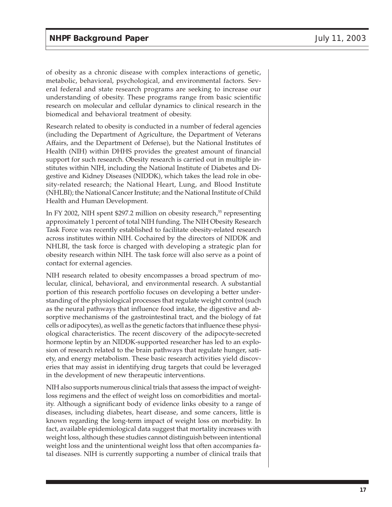of obesity as a chronic disease with complex interactions of genetic, metabolic, behavioral, psychological, and environmental factors. Several federal and state research programs are seeking to increase our understanding of obesity. These programs range from basic scientific research on molecular and cellular dynamics to clinical research in the biomedical and behavioral treatment of obesity.

Research related to obesity is conducted in a number of federal agencies (including the Department of Agriculture, the Department of Veterans Affairs, and the Department of Defense), but the National Institutes of Health (NIH) within DHHS provides the greatest amount of financial support for such research. Obesity research is carried out in multiple institutes within NIH, including the National Institute of Diabetes and Digestive and Kidney Diseases (NIDDK), which takes the lead role in obesity-related research; the National Heart, Lung, and Blood Institute (NHLBI); the National Cancer Institute; and the National Institute of Child Health and Human Development.

In FY 2002, NIH spent \$297.2 million on obesity research,<sup>55</sup> representing approximately 1 percent of total NIH funding. The NIH Obesity Research Task Force was recently established to facilitate obesity-related research across institutes within NIH. Cochaired by the directors of NIDDK and NHLBI, the task force is charged with developing a strategic plan for obesity research within NIH. The task force will also serve as a point of contact for external agencies.

NIH research related to obesity encompasses a broad spectrum of molecular, clinical, behavioral, and environmental research. A substantial portion of this research portfolio focuses on developing a better understanding of the physiological processes that regulate weight control (such as the neural pathways that influence food intake, the digestive and absorptive mechanisms of the gastrointestinal tract, and the biology of fat cells or adipocytes), as well as the genetic factors that influence these physiological characteristics. The recent discovery of the adipocyte-secreted hormone leptin by an NIDDK-supported researcher has led to an explosion of research related to the brain pathways that regulate hunger, satiety, and energy metabolism. These basic research activities yield discoveries that may assist in identifying drug targets that could be leveraged in the development of new therapeutic interventions.

NIH also supports numerous clinical trials that assess the impact of weightloss regimens and the effect of weight loss on comorbidities and mortality. Although a significant body of evidence links obesity to a range of diseases, including diabetes, heart disease, and some cancers, little is known regarding the long-term impact of weight loss on morbidity. In fact, available epidemiological data suggest that mortality increases with weight loss, although these studies cannot distinguish between intentional weight loss and the unintentional weight loss that often accompanies fatal diseases. NIH is currently supporting a number of clinical trails that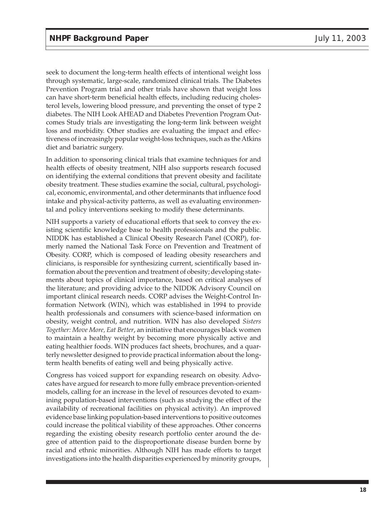seek to document the long-term health effects of intentional weight loss through systematic, large-scale, randomized clinical trials. The Diabetes Prevention Program trial and other trials have shown that weight loss can have short-term beneficial health effects, including reducing cholesterol levels, lowering blood pressure, and preventing the onset of type 2 diabetes. The NIH Look AHEAD and Diabetes Prevention Program Outcomes Study trials are investigating the long-term link between weight loss and morbidity. Other studies are evaluating the impact and effectiveness of increasingly popular weight-loss techniques, such as the Atkins diet and bariatric surgery.

In addition to sponsoring clinical trials that examine techniques for and health effects of obesity treatment, NIH also supports research focused on identifying the external conditions that prevent obesity and facilitate obesity treatment. These studies examine the social, cultural, psychological, economic, environmental, and other determinants that influence food intake and physical-activity patterns, as well as evaluating environmental and policy interventions seeking to modify these determinants.

NIH supports a variety of educational efforts that seek to convey the existing scientific knowledge base to health professionals and the public. NIDDK has established a Clinical Obesity Research Panel (CORP), formerly named the National Task Force on Prevention and Treatment of Obesity. CORP, which is composed of leading obesity researchers and clinicians, is responsible for synthesizing current, scientifically based information about the prevention and treatment of obesity; developing statements about topics of clinical importance, based on critical analyses of the literature; and providing advice to the NIDDK Advisory Council on important clinical research needs. CORP advises the Weight-Control Information Network (WIN), which was established in 1994 to provide health professionals and consumers with science-based information on obesity, weight control, and nutrition. WIN has also developed *Sisters Together: Move More, Eat Better*, an initiative that encourages black women to maintain a healthy weight by becoming more physically active and eating healthier foods. WIN produces fact sheets, brochures, and a quarterly newsletter designed to provide practical information about the longterm health benefits of eating well and being physically active.

Congress has voiced support for expanding research on obesity. Advocates have argued for research to more fully embrace prevention-oriented models, calling for an increase in the level of resources devoted to examining population-based interventions (such as studying the effect of the availability of recreational facilities on physical activity). An improved evidence base linking population-based interventions to positive outcomes could increase the political viability of these approaches. Other concerns regarding the existing obesity research portfolio center around the degree of attention paid to the disproportionate disease burden borne by racial and ethnic minorities. Although NIH has made efforts to target investigations into the health disparities experienced by minority groups,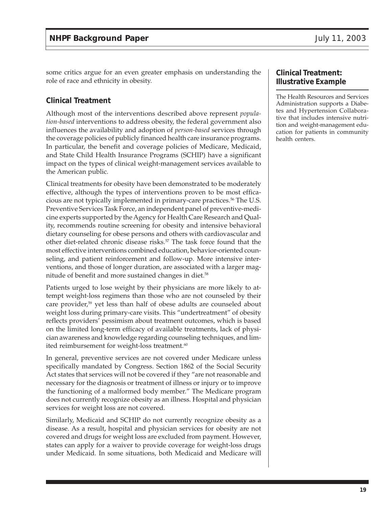some critics argue for an even greater emphasis on understanding the role of race and ethnicity in obesity.

#### **Clinical Treatment**

Although most of the interventions described above represent *population-based* interventions to address obesity, the federal government also influences the availability and adoption of *person-based* services through the coverage policies of publicly financed health care insurance programs. In particular, the benefit and coverage policies of Medicare, Medicaid, and State Child Health Insurance Programs (SCHIP) have a significant impact on the types of clinical weight-management services available to the American public.

Clinical treatments for obesity have been demonstrated to be moderately effective, although the types of interventions proven to be most efficacious are not typically implemented in primary-care practices.<sup>56</sup> The U.S. Preventive Services Task Force, an independent panel of preventive-medicine experts supported by the Agency for Health Care Research and Quality, recommends routine screening for obesity and intensive behavioral dietary counseling for obese persons and others with cardiovascular and other diet-related chronic disease risks.<sup>57</sup> The task force found that the most effective interventions combined education, behavior-oriented counseling, and patient reinforcement and follow-up. More intensive interventions, and those of longer duration, are associated with a larger magnitude of benefit and more sustained changes in diet.<sup>58</sup>

Patients urged to lose weight by their physicians are more likely to attempt weight-loss regimens than those who are not counseled by their care provider,<sup>59</sup> yet less than half of obese adults are counseled about weight loss during primary-care visits. This "undertreatment" of obesity reflects providers' pessimism about treatment outcomes, which is based on the limited long-term efficacy of available treatments, lack of physician awareness and knowledge regarding counseling techniques, and limited reimbursement for weight-loss treatment.<sup>60</sup>

In general, preventive services are not covered under Medicare unless specifically mandated by Congress. Section 1862 of the Social Security Act states that services will not be covered if they "are not reasonable and necessary for the diagnosis or treatment of illness or injury or to improve the functioning of a malformed body member." The Medicare program does not currently recognize obesity as an illness. Hospital and physician services for weight loss are not covered.

Similarly, Medicaid and SCHIP do not currently recognize obesity as a disease. As a result, hospital and physician services for obesity are not covered and drugs for weight loss are excluded from payment. However, states can apply for a waiver to provide coverage for weight-loss drugs under Medicaid. In some situations, both Medicaid and Medicare will

#### **Clinical Treatment: Illustrative Example**

The Health Resources and Services Administration supports a Diabetes and Hypertension Collaborative that includes intensive nutrition and weight-management education for patients in community health centers.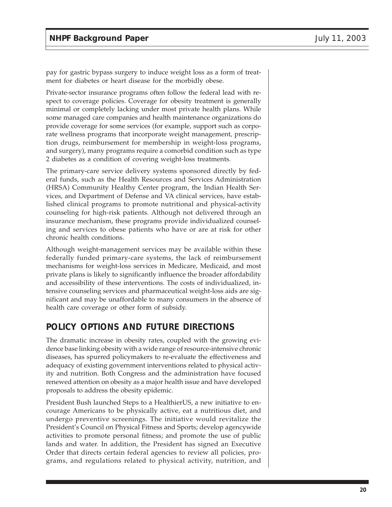pay for gastric bypass surgery to induce weight loss as a form of treatment for diabetes or heart disease for the morbidly obese.

Private-sector insurance programs often follow the federal lead with respect to coverage policies. Coverage for obesity treatment is generally minimal or completely lacking under most private health plans. While some managed care companies and health maintenance organizations do provide coverage for some services (for example, support such as corporate wellness programs that incorporate weight management, prescription drugs, reimbursement for membership in weight-loss programs, and surgery), many programs require a comorbid condition such as type 2 diabetes as a condition of covering weight-loss treatments.

The primary-care service delivery systems sponsored directly by federal funds, such as the Health Resources and Services Administration (HRSA) Community Healthy Center program, the Indian Health Services, and Department of Defense and VA clinical services, have established clinical programs to promote nutritional and physical-activity counseling for high-risk patients. Although not delivered through an insurance mechanism, these programs provide individualized counseling and services to obese patients who have or are at risk for other chronic health conditions.

Although weight-management services may be available within these federally funded primary-care systems, the lack of reimbursement mechanisms for weight-loss services in Medicare, Medicaid, and most private plans is likely to significantly influence the broader affordability and accessibility of these interventions. The costs of individualized, intensive counseling services and pharmaceutical weight-loss aids are significant and may be unaffordable to many consumers in the absence of health care coverage or other form of subsidy.

# **POLICY OPTIONS AND FUTURE DIRECTIONS**

The dramatic increase in obesity rates, coupled with the growing evidence base linking obesity with a wide range of resource-intensive chronic diseases, has spurred policymakers to re-evaluate the effectiveness and adequacy of existing government interventions related to physical activity and nutrition. Both Congress and the administration have focused renewed attention on obesity as a major health issue and have developed proposals to address the obesity epidemic.

President Bush launched Steps to a HealthierUS, a new initiative to encourage Americans to be physically active, eat a nutritious diet, and undergo preventive screenings. The initiative would revitalize the President's Council on Physical Fitness and Sports; develop agencywide activities to promote personal fitness; and promote the use of public lands and water. In addition, the President has signed an Executive Order that directs certain federal agencies to review all policies, programs, and regulations related to physical activity, nutrition, and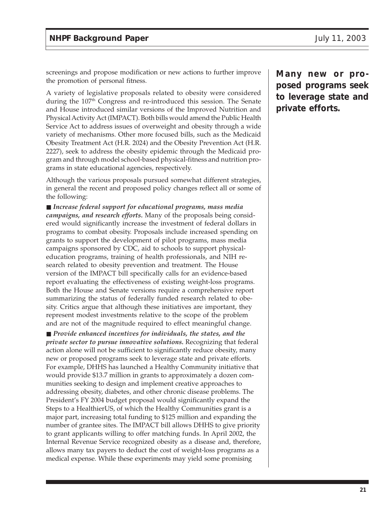screenings and propose modification or new actions to further improve the promotion of personal fitness.

A variety of legislative proposals related to obesity were considered during the 107<sup>th</sup> Congress and re-introduced this session. The Senate and House introduced similar versions of the Improved Nutrition and Physical Activity Act (IMPACT). Both bills would amend the Public Health Service Act to address issues of overweight and obesity through a wide variety of mechanisms. Other more focused bills, such as the Medicaid Obesity Treatment Act (H.R. 2024) and the Obesity Prevention Act (H.R. 2227), seek to address the obesity epidemic through the Medicaid program and through model school-based physical-fitness and nutrition programs in state educational agencies, respectively.

Although the various proposals pursued somewhat different strategies, in general the recent and proposed policy changes reflect all or some of the following:

■ *Increase federal support for educational programs, mass media campaigns, and research efforts.* Many of the proposals being considered would significantly increase the investment of federal dollars in programs to combat obesity. Proposals include increased spending on grants to support the development of pilot programs, mass media campaigns sponsored by CDC, aid to schools to support physicaleducation programs, training of health professionals, and NIH research related to obesity prevention and treatment. The House version of the IMPACT bill specifically calls for an evidence-based report evaluating the effectiveness of existing weight-loss programs. Both the House and Senate versions require a comprehensive report summarizing the status of federally funded research related to obesity. Critics argue that although these initiatives are important, they represent modest investments relative to the scope of the problem and are not of the magnitude required to effect meaningful change.

■ *Provide enhanced incentives for individuals, the states, and the private sector to pursue innovative solutions.* Recognizing that federal action alone will not be sufficient to significantly reduce obesity, many new or proposed programs seek to leverage state and private efforts. For example, DHHS has launched a Healthy Community initiative that would provide \$13.7 million in grants to approximately a dozen communities seeking to design and implement creative approaches to addressing obesity, diabetes, and other chronic disease problems. The President's FY 2004 budget proposal would significantly expand the Steps to a HealthierUS, of which the Healthy Communities grant is a major part, increasing total funding to \$125 million and expanding the number of grantee sites. The IMPACT bill allows DHHS to give priority to grant applicants willing to offer matching funds. In April 2002, the Internal Revenue Service recognized obesity as a disease and, therefore, allows many tax payers to deduct the cost of weight-loss programs as a medical expense. While these experiments may yield some promising

**Many new or proposed programs seek to leverage state and private efforts.**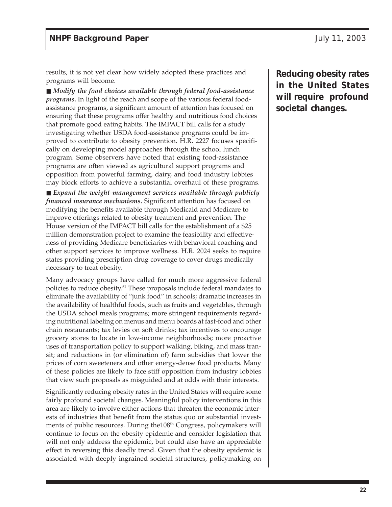results, it is not yet clear how widely adopted these practices and programs will become.

■ *Modify the food choices available through federal food-assistance programs.* In light of the reach and scope of the various federal foodassistance programs, a significant amount of attention has focused on ensuring that these programs offer healthy and nutritious food choices that promote good eating habits. The IMPACT bill calls for a study investigating whether USDA food-assistance programs could be improved to contribute to obesity prevention. H.R. 2227 focuses specifically on developing model approaches through the school lunch program. Some observers have noted that existing food-assistance programs are often viewed as agricultural support programs and opposition from powerful farming, dairy, and food industry lobbies may block efforts to achieve a substantial overhaul of these programs.

■ *Expand the weight-management services available through publicly financed insurance mechanisms.* Significant attention has focused on modifying the benefits available through Medicaid and Medicare to improve offerings related to obesity treatment and prevention. The House version of the IMPACT bill calls for the establishment of a \$25 million demonstration project to examine the feasibility and effectiveness of providing Medicare beneficiaries with behavioral coaching and other support services to improve wellness. H.R. 2024 seeks to require states providing prescription drug coverage to cover drugs medically necessary to treat obesity.

Many advocacy groups have called for much more aggressive federal policies to reduce obesity.61 These proposals include federal mandates to eliminate the availability of "junk food" in schools; dramatic increases in the availability of healthful foods, such as fruits and vegetables, through the USDA school meals programs; more stringent requirements regarding nutritional labeling on menus and menu boards at fast-food and other chain restaurants; tax levies on soft drinks; tax incentives to encourage grocery stores to locate in low-income neighborhoods; more proactive uses of transportation policy to support walking, biking, and mass transit; and reductions in (or elimination of) farm subsidies that lower the prices of corn sweeteners and other energy-dense food products. Many of these policies are likely to face stiff opposition from industry lobbies that view such proposals as misguided and at odds with their interests.

Significantly reducing obesity rates in the United States will require some fairly profound societal changes. Meaningful policy interventions in this area are likely to involve either actions that threaten the economic interests of industries that benefit from the status quo or substantial investments of public resources. During the108<sup>th</sup> Congress, policymakers will continue to focus on the obesity epidemic and consider legislation that will not only address the epidemic, but could also have an appreciable effect in reversing this deadly trend. Given that the obesity epidemic is associated with deeply ingrained societal structures, policymaking on **Reducing obesity rates in the United States will require profound societal changes.**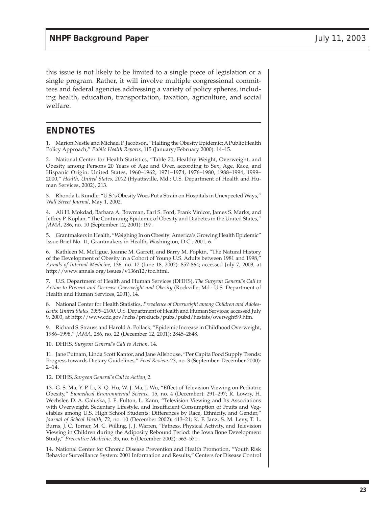this issue is not likely to be limited to a single piece of legislation or a single program. Rather, it will involve multiple congressional committees and federal agencies addressing a variety of policy spheres, including health, education, transportation, taxation, agriculture, and social welfare.

## **ENDNOTES**

1. Marion Nestle and Michael F. Jacobson, "Halting the Obesity Epidemic: A Public Health Policy Approach," *Public Health Reports,* 115 (January/February 2000): 14–15.

2. National Center for Health Statistics, "Table 70, Healthy Weight, Overweight, and Obesity among Persons 20 Years of Age and Over, according to Sex, Age, Race, and Hispanic Origin: United States, 1960–1962, 1971–1974, 1976–1980, 1988–1994, 1999– 2000," *Health, United States, 2002* (Hyattsville, Md.: U.S. Department of Health and Human Services, 2002), 213.

3. Rhonda L. Rundle, "U.S.'s Obesity Woes Put a Strain on Hospitals in Unexpected Ways," *Wall Street Journal*, May 1, 2002.

4. Ali H. Mokdad, Barbara A. Bowman, Earl S. Ford, Frank Vinicor, James S. Marks, and Jeffrey P. Koplan, "The Continuing Epidemic of Obesity and Diabetes in the United States," *JAMA,* 286, no. 10 (September 12, 2001): 197.

5. Grantmakers in Health, "Weighing In on Obesity: America's Growing Health Epidemic" Issue Brief No. 11, Grantmakers in Health, Washington, D.C., 2001, 6.

6. Kathleen M. McTigue, Joanne M. Garrett, and Barry M. Popkin, "The Natural History of the Development of Obesity in a Cohort of Young U.S. Adults between 1981 and 1998," *Annals of Internal Medicine,* 136, no. 12 (June 18, 2002): 857-864; accessed July 7, 2003, at http://www.annals.org/issues/v136n12/toc.html.

7. U.S. Department of Health and Human Services (DHHS), *The Surgeon General's Call to Action to Prevent and Decrease Overweight and Obesity* (Rockville, Md.: U.S. Department of Health and Human Services, 2001), 14.

8. National Center for Health Statistics, *Prevalence of Overweight among Children and Adolescents: United States, 1999–2000*, U.S. Department of Health and Human Services; accessed July 9, 2003, at http://www.cdc.gov/nchs/products/pubs/pubd/hestats/overwght99.htm.

9. Richard S. Strauss and Harold A. Pollack, "Epidemic Increase in Childhood Overweight, 1986–1998," *JAMA,* 286, no. 22 (December 12, 2001): 2845–2848.

10. DHHS, *Surgeon General's Call to Action,* 14.

11. Jane Putnam, Linda Scott Kantor, and Jane Allshouse, "Per Capita Food Supply Trends: Progress towards Dietary Guidelines," *Food Review,* 23, no. 3 (September–December 2000):  $2 - 14$ .

12. DHHS, *Surgeon General's Call to Action,* 2.

13. G. S. Ma, Y. P. Li, X. Q. Hu, W. J. Ma, J. Wu, "Effect of Television Viewing on Pediatric Obesity," *Biomedical Environmental Science,* 15, no. 4 (December): 291–297; R. Lowry, H. Wechsler, D. A. Galuska, J. E. Fulton, L. Kann, "Television Viewing and Its Associations with Overweight, Sedentary Lifestyle, and Insufficient Consumption of Fruits and Vegetables among U.S. High School Students: Differences by Race, Ethnicity, and Gender," *Journal of School Health,* 72, no. 10 (December 2002): 413–21; K. F. Janz, S. M. Levy, T. L. Burns, J. C. Torner, M. C. Willing, J. J. Warren, "Fatness, Physical Activity, and Television Viewing in Children during the Adiposity Rebound Period: the Iowa Bone Development Study," *Preventive Medicine,* 35, no. 6 (December 2002): 563–571.

14. National Center for Chronic Disease Prevention and Health Promotion, "Youth Risk Behavior Surveillance System: 2001 Information and Results," Centers for Disease Control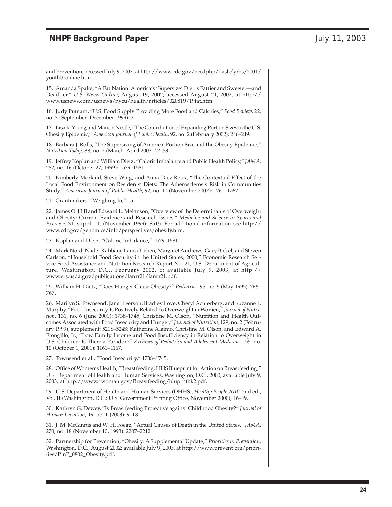and Prevention; accessed July 9, 2003, at http://www.cdc.gov/nccdphp/dash/yrbs/2001/ youth01online.htm.

15. Amanda Spake, "A Fat Nation: America's 'Supersize' Diet is Fattier and Sweeter—and Deadlier," *U.S. News Online*, August 19, 2002; accessed August 21, 2002, at http:// www.usnews.com/usnews/nycu/health/articles/020819/19fat.htm.

16. Judy Putnam, "U.S. Food Supply Providing More Food and Calories," *Food Review,* 22, no. 3 (September–December 1999): 3.

17. Lisa R. Young and Marion Nestle, "The Contribution of Expanding Portion Sizes to the U.S. Obesity Epidemic," *American Journal of Public Health,* 92, no. 2 (February 2002): 246–249.

18. Barbara J. Rolls, "The Supersizing of America: Portion Size and the Obesity Epidemic," *Nutrition Today,* 38, no. 2 (March–April 2003: 42–53.

19. Jeffrey Koplan and William Dietz, "Caloric Imbalance and Public Health Policy," *JAMA,* 282, no. 16 (October 27, 1999): 1579–1581.

20. Kimberly Morland, Steve Wing, and Anna Diez Roux, "The Contextual Effect of the Local Food Environment on Residents' Diets: The Atherosclerosis Risk in Communities Study," *American Journal of Public Health,* 92, no. 11 (November 2002): 1761–1767.

21. Grantmakers, "Weighing In," 15.

22. James O. Hill and Edward L. Melanson, "Overview of the Determinants of Overweight and Obesity: Current Evidence and Research Issues," *Medicine and Science in Sports and Exercise,* 31, suppl. 11, (November 1999): S515. For additional information see http:// www.cdc.gov/genomics/info/perspectives/obesity.htm.

23. Koplan and Dietz, "Caloric Imbalance," 1579–1581.

24. Mark Nord, Nader Kabbani, Laura Tiehen, Margaret Andrews, Gary Bickel, and Steven Carlson, "Household Food Security in the United States, 2000," Economic Research Service Food Assistance and Nutrition Research Report No. 21, U.S. Department of Agriculture, Washington, D.C., February 2002, 6; available July 9, 2003, at http:// www.ers.usda.gov/publications/fanrr21/fanrr21.pdf.

25. William H. Dietz, "Does Hunger Cause Obesity?" *Pediatrics,* 95, no. 5 (May 1995): 766– 767.

26. Marilyn S. Townsend, Janet Peerson, Bradley Love, Cheryl Achterberg, and Suzanne P. Murphy, "Food Insecurity Is Positively Related to Overweight in Women," *Journal of Nutrition,* 131, no. 6 (June 2001): 1738–1745; Christine M. Olson, "Nutrition and Health Outcomes Associated with Food Insecurity and Hunger," *Journal of Nutrition,* 129, no. 2 (February 1999), supplement: 521S–524S; Katherine Alaimo, Christine M. Olson, and Edward A. Frongillo, Jr., "Low Family Income and Food Insufficiency in Relation to Overweight in U.S. Children: Is There a Paradox?" *Archives of Pediatrics and Adolescent Medicine,* 155, no. 10 (October 1, 2001): 1161–1167.

27. Townsend et al., "Food Insecurity," 1738–1745.

28. Office of Women's Health, "Breastfeeding: HHS Blueprint for Action on Breastfeeding," U.S. Department of Health and Human Services, Washington, D.C., 2000; available July 9, 2003, at http://www.4woman.gov/Breastfeeding/bluprntbk2.pdf.

29. U.S. Department of Health and Human Services (DHHS), *Healthy People 2010,* 2nd ed., Vol. II (Washington, D.C.: U.S. Government Printing Office, November 2000), 16–49.

30. Kathryn G. Dewey, "Is Breastfeeding Protective against Childhood Obesity?" *Journal of Human Lactation,* 19, no. 1 (2003): 9–18.

31. J. M. McGinnis and W. H. Foege, "Actual Causes of Death in the United States," *JAMA,* 270, no. 18 (November 10, 1993): 2207–2212.

32. Partnership for Prevention, "Obesity: A Supplemental Update," *Priorities in Prevention*, Washington, D.C., August 2002; available July 9, 2003, at http://www.prevent.org/priorities/PinP\_0802\_Obesity.pdf.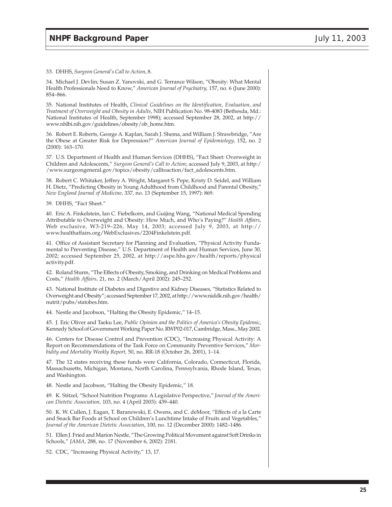33. DHHS, *Surgeon General's Call to Action*, 8.

34. Michael J. Devlin; Susan Z. Yanovski, and G. Terrance Wilson, "Obesity: What Mental Health Professionals Need to Know," *American Journal of Psychiatry,* 157, no. 6 (June 2000): 854–866.

35. National Institutes of Health, *Clinical Guidelines on the Identification, Evaluation, and Treatment of Overweight and Obesity in Adults*, NIH Publication No. 98-4083 (Bethesda, Md.: National Institutes of Health, September 1998); accessed September 28, 2002, at http:// www.nhlbi.nih.gov/guidelines/obesity/ob\_home.htm.

36. Robert E. Roberts, George A. Kaplan, Sarah J. Shema, and William J. Strawbridge, "Are the Obese at Greater Risk for Depression?" *American Journal of Epidemiology,* 152, no. 2 (2000): 163–170.

37. U.S. Department of Health and Human Services (DHHS), "Fact Sheet: Overweight in Children and Adolescents," *Surgeon General's Call to Action*; accessed July 9, 2003, at http:/ /www.surgeongeneral.gov/topics/obesity/calltoaction/fact\_adolescents.htm.

38. Robert C. Whitaker, Jeffrey A. Wright, Margaret S. Pepe, Kristy D. Seidel, and William H. Dietz, "Predicting Obesity in Young Adulthood from Childhood and Parental Obesity," *New England Journal of Medicine,* 337, no. 13 (September 15, 1997): 869.

39. DHHS, "Fact Sheet."

40. Eric A. Finkelstein, Ian C. Fiebelkorn, and Guijing Wang, "National Medical Spending Attributable to Overweight and Obesity: How Much, and Who's Paying?" *Health Affairs*, Web exclusive, W3-219–226, May 14, 2003; accessed July 9, 2003, at http:// www.healthaffairs.org/WebExclusives/2204Finkelstein.pdf.

41. Office of Assistant Secretary for Planning and Evaluation, "Physical Activity Fundamental to Preventing Disease," U.S. Department of Health and Human Services, June 30, 2002; accessed September 25, 2002, at http://aspe.hhs.gov/health/reports/physical activity.pdf.

42. Roland Sturm, "The Effects of Obesity, Smoking, and Drinking on Medical Problems and Costs," *Health Affairs,* 21, no. 2 (March/April 2002): 245–252.

43. National Institute of Diabetes and Digestive and Kidney Diseases, "Statistics Related to Overweight and Obesity"; accessed September 17, 2002, at http://www.niddk.nih.gov/health/ nutrit/pubs/statobes.htm.

44. Nestle and Jacobson, "Halting the Obesity Epidemic," 14–15.

45. J. Eric Oliver and Taeku Lee, *Public Opinion and the Politics of America's Obesity Epidemic*, Kennedy School of Government Working Paper No. RWP02-017, Cambridge, Mass., May 2002.

46. Centers for Disease Control and Prevention (CDC), "Increasing Physical Activity: A Report on Recommendations of the Task Force on Community Preventive Services," *Morbidity and Mortality Weekly Report,* 50, no. RR-18 (October 26, 2001), 1–14.

47. The 12 states receiving these funds were California, Colorado, Connecticut, Florida, Massachusetts, Michigan, Montana, North Carolina, Pennsylvania, Rhode Island, Texas, and Washington.

48. Nestle and Jacobson, "Halting the Obesity Epidemic," 18.

49. K. Stitzel, "School Nutrition Programs: A Legislative Perspective," *Journal of the American Dietetic Association,* 103, no. 4 (April 2003): 439–440.

50. K. W. Cullen, J. Eagan, T. Baranowski, E. Owens, and C. deMoor, "Effects of a la Carte and Snack Bar Foods at School on Children's Lunchtime Intake of Fruits and Vegetables," *Journal of the American Dietetic Association*, 100, no. 12 (December 2000): 1482–1486.

51. Ellen J. Fried and Marion Nestle, "The Growing Political Movement against Soft Drinks in Schools," *JAMA,* 288, no. 17 (November 6, 2002): 2181.

52. CDC, "Increasing Physical Activity," 13, 17.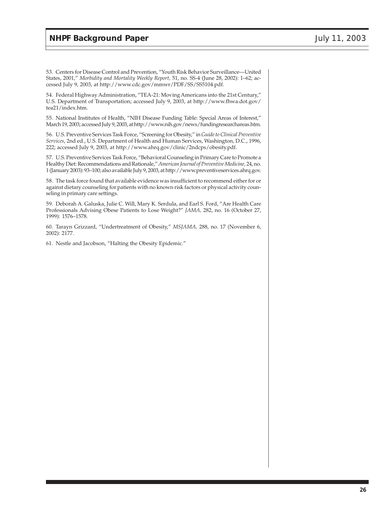53. Centers for Disease Control and Prevention, "Youth Risk Behavior Surveillance—United States, 2001," *Morbidity and Mortality Weekly Report,* 51, no. SS-4 (June 28, 2002): 1–62; accessed July 9, 2003, at http://www.cdc.gov/mmwr/PDF/SS/SS5104.pdf.

54. Federal Highway Administration, "TEA-21: Moving Americans into the 21st Century," U.S. Department of Transportation; accessed July 9, 2003, at http://www.fhwa.dot.gov/ tea21/index.htm.

55. National Institutes of Health, "NIH Disease Funding Table: Special Areas of Interest," March 19, 2003; accessed July 9, 2003, at http://www.nih.gov/news/fundingresearchareas.htm.

56. U.S. Preventive Services Task Force, "Screening for Obesity," in *Guide to Clinical Preventive Services*, 2nd ed., U.S. Department of Health and Human Services, Washington, D.C., 1996, 222; accessed July 9, 2003, at http://www.ahrq.gov/clinic/2ndcps/obesity.pdf.

57. U.S. Preventive Services Task Force, "Behavioral Counseling in Primary Care to Promote a Healthy Diet: Recommendations and Rationale," *American Journal of Preventive Medicine,* 24, no. 1 (January 2003): 93–100; also available July 9, 2003, at http://www.preventiveservices.ahrq.gov.

58. The task force found that available evidence was insufficient to recommend either for or against dietary counseling for patients with no known risk factors or physical activity counseling in primary care settings.

59. Deborah A. Galuska, Julie C. Will, Mary K. Serdula, and Earl S. Ford, "Are Health Care Professionals Advising Obese Patients to Lose Weight?" *JAMA,* 282, no. 16 (October 27, 1999): 1576–1578.

60. Tarayn Grizzard, "Undertreatment of Obesity," *MSJAMA,* 288, no. 17 (November 6, 2002): 2177.

61. Nestle and Jacobson, "Halting the Obesity Epidemic."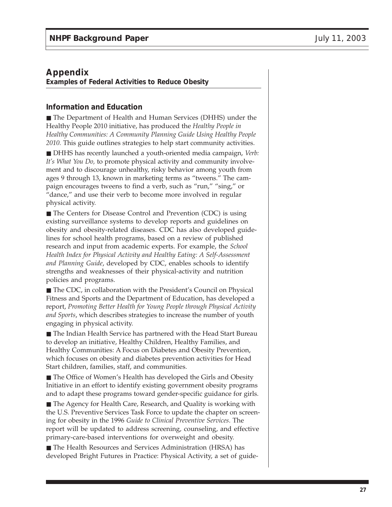# **Appendix**

**Examples of Federal Activities to Reduce Obesity**

#### **Information and Education**

■ The Department of Health and Human Services (DHHS) under the Healthy People 2010 initiative, has produced the *Healthy People in Healthy Communities: A Community Planning Guide Using Healthy People 2010.* This guide outlines strategies to help start community activities.

■ DHHS has recently launched a youth-oriented media campaign, *Verb*: *It's What You Do,* to promote physical activity and community involvement and to discourage unhealthy, risky behavior among youth from ages 9 through 13, known in marketing terms as "tweens." The campaign encourages tweens to find a verb, such as "run," "sing," or "dance," and use their verb to become more involved in regular physical activity.

■ The Centers for Disease Control and Prevention (CDC) is using existing surveillance systems to develop reports and guidelines on obesity and obesity-related diseases. CDC has also developed guidelines for school health programs, based on a review of published research and input from academic experts. For example, the *School Health Index for Physical Activity and Healthy Eating: A Self-Assessment and Planning Guide*, developed by CDC, enables schools to identify strengths and weaknesses of their physical-activity and nutrition policies and programs.

■ The CDC, in collaboration with the President's Council on Physical Fitness and Sports and the Department of Education, has developed a report, *Promoting Better Health for Young People through Physical Activity and Sports*, which describes strategies to increase the number of youth engaging in physical activity.

■ The Indian Health Service has partnered with the Head Start Bureau to develop an initiative, Healthy Children, Healthy Families, and Healthy Communities: A Focus on Diabetes and Obesity Prevention, which focuses on obesity and diabetes prevention activities for Head Start children, families, staff, and communities.

■ The Office of Women's Health has developed the Girls and Obesity Initiative in an effort to identify existing government obesity programs and to adapt these programs toward gender-specific guidance for girls.

■ The Agency for Health Care, Research, and Quality is working with the U.S. Preventive Services Task Force to update the chapter on screening for obesity in the 1996 *Guide to Clinical Preventive Services*. The report will be updated to address screening, counseling, and effective primary-care-based interventions for overweight and obesity.

■ The Health Resources and Services Administration (HRSA) has developed Bright Futures in Practice: Physical Activity, a set of guide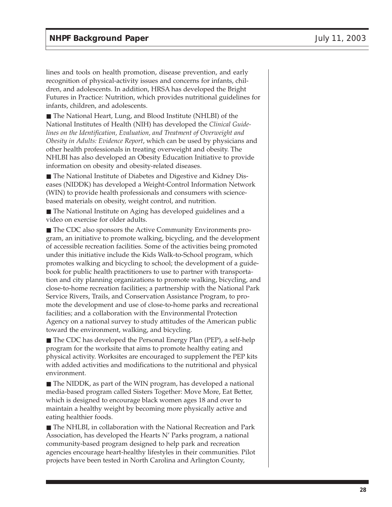lines and tools on health promotion, disease prevention, and early recognition of physical-activity issues and concerns for infants, children, and adolescents. In addition, HRSA has developed the Bright Futures in Practice: Nutrition, which provides nutritional guidelines for infants, children, and adolescents.

■ The National Heart, Lung, and Blood Institute (NHLBI) of the National Institutes of Health (NIH) has developed the *Clinical Guidelines on the Identification, Evaluation, and Treatment of Overweight and Obesity in Adults: Evidence Report*, which can be used by physicians and other health professionals in treating overweight and obesity. The NHLBI has also developed an Obesity Education Initiative to provide information on obesity and obesity-related diseases.

■ The National Institute of Diabetes and Digestive and Kidney Diseases (NIDDK) has developed a Weight-Control Information Network (WIN) to provide health professionals and consumers with sciencebased materials on obesity, weight control, and nutrition.

■ The National Institute on Aging has developed guidelines and a video on exercise for older adults.

■ The CDC also sponsors the Active Community Environments program, an initiative to promote walking, bicycling, and the development of accessible recreation facilities. Some of the activities being promoted under this initiative include the Kids Walk-to-School program, which promotes walking and bicycling to school; the development of a guidebook for public health practitioners to use to partner with transportation and city planning organizations to promote walking, bicycling, and close-to-home recreation facilities; a partnership with the National Park Service Rivers, Trails, and Conservation Assistance Program, to promote the development and use of close-to-home parks and recreational facilities; and a collaboration with the Environmental Protection Agency on a national survey to study attitudes of the American public toward the environment, walking, and bicycling.

■ The CDC has developed the Personal Energy Plan (PEP), a self-help program for the worksite that aims to promote healthy eating and physical activity. Worksites are encouraged to supplement the PEP kits with added activities and modifications to the nutritional and physical environment.

■ The NIDDK, as part of the WIN program, has developed a national media-based program called Sisters Together: Move More, Eat Better, which is designed to encourage black women ages 18 and over to maintain a healthy weight by becoming more physically active and eating healthier foods.

■ The NHLBI, in collaboration with the National Recreation and Park Association, has developed the Hearts N' Parks program, a national community-based program designed to help park and recreation agencies encourage heart-healthy lifestyles in their communities. Pilot projects have been tested in North Carolina and Arlington County,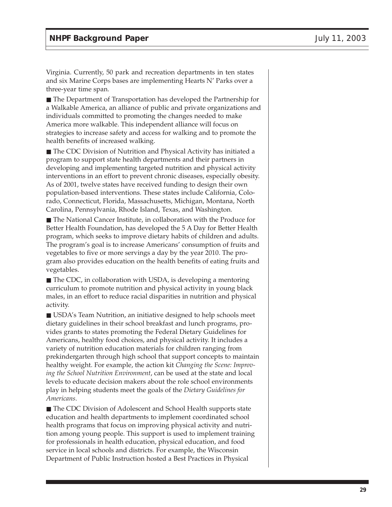Virginia. Currently, 50 park and recreation departments in ten states and six Marine Corps bases are implementing Hearts N' Parks over a three-year time span.

■ The Department of Transportation has developed the Partnership for a Walkable America, an alliance of public and private organizations and individuals committed to promoting the changes needed to make America more walkable. This independent alliance will focus on strategies to increase safety and access for walking and to promote the health benefits of increased walking.

■ The CDC Division of Nutrition and Physical Activity has initiated a program to support state health departments and their partners in developing and implementing targeted nutrition and physical activity interventions in an effort to prevent chronic diseases, especially obesity. As of 2001, twelve states have received funding to design their own population-based interventions. These states include California, Colorado, Connecticut, Florida, Massachusetts, Michigan, Montana, North Carolina, Pennsylvania, Rhode Island, Texas, and Washington.

■ The National Cancer Institute, in collaboration with the Produce for Better Health Foundation, has developed the 5 A Day for Better Health program, which seeks to improve dietary habits of children and adults. The program's goal is to increase Americans' consumption of fruits and vegetables to five or more servings a day by the year 2010. The program also provides education on the health benefits of eating fruits and vegetables.

■ The CDC, in collaboration with USDA, is developing a mentoring curriculum to promote nutrition and physical activity in young black males, in an effort to reduce racial disparities in nutrition and physical activity.

■ USDA's Team Nutrition, an initiative designed to help schools meet dietary guidelines in their school breakfast and lunch programs, provides grants to states promoting the Federal Dietary Guidelines for Americans, healthy food choices, and physical activity. It includes a variety of nutrition education materials for children ranging from prekindergarten through high school that support concepts to maintain healthy weight. For example, the action kit *Changing the Scene: Improving the School Nutrition Environment*, can be used at the state and local levels to educate decision makers about the role school environments play in helping students meet the goals of the *Dietary Guidelines for Americans*.

■ The CDC Division of Adolescent and School Health supports state education and health departments to implement coordinated school health programs that focus on improving physical activity and nutrition among young people. This support is used to implement training for professionals in health education, physical education, and food service in local schools and districts. For example, the Wisconsin Department of Public Instruction hosted a Best Practices in Physical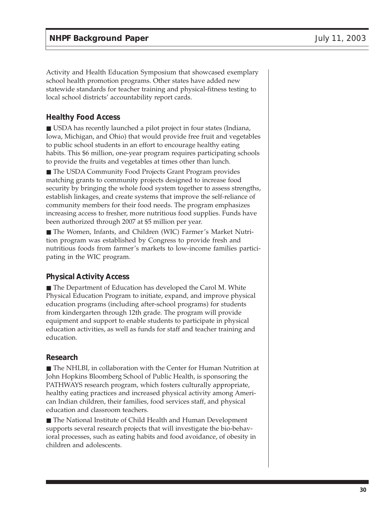Activity and Health Education Symposium that showcased exemplary school health promotion programs. Other states have added new statewide standards for teacher training and physical-fitness testing to local school districts' accountability report cards.

#### **Healthy Food Access**

■ USDA has recently launched a pilot project in four states (Indiana, Iowa, Michigan, and Ohio) that would provide free fruit and vegetables to public school students in an effort to encourage healthy eating habits. This \$6 million, one-year program requires participating schools to provide the fruits and vegetables at times other than lunch.

■ The USDA Community Food Projects Grant Program provides matching grants to community projects designed to increase food security by bringing the whole food system together to assess strengths, establish linkages, and create systems that improve the self-reliance of community members for their food needs. The program emphasizes increasing access to fresher, more nutritious food supplies. Funds have been authorized through 2007 at \$5 million per year.

■ The Women, Infants, and Children (WIC) Farmer's Market Nutrition program was established by Congress to provide fresh and nutritious foods from farmer's markets to low-income families participating in the WIC program.

## **Physical Activity Access**

■ The Department of Education has developed the Carol M. White Physical Education Program to initiate, expand, and improve physical education programs (including after-school programs) for students from kindergarten through 12th grade. The program will provide equipment and support to enable students to participate in physical education activities, as well as funds for staff and teacher training and education.

#### **Research**

■ The NHLBI, in collaboration with the Center for Human Nutrition at John Hopkins Bloomberg School of Public Health, is sponsoring the PATHWAYS research program, which fosters culturally appropriate, healthy eating practices and increased physical activity among American Indian children, their families, food services staff, and physical education and classroom teachers.

■ The National Institute of Child Health and Human Development supports several research projects that will investigate the bio-behavioral processes, such as eating habits and food avoidance, of obesity in children and adolescents.